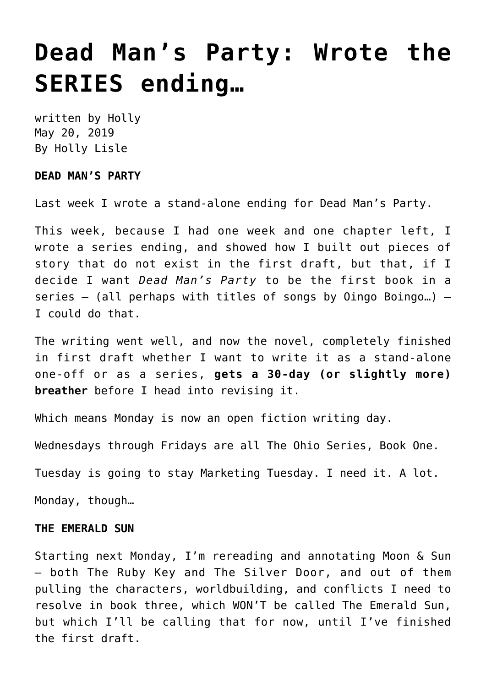## **[Dead Man's Party: Wrote the](https://hollylisle.com/dead-mans-party-wrote-the-series-ending/) [SERIES ending…](https://hollylisle.com/dead-mans-party-wrote-the-series-ending/)**

written by Holly May 20, 2019 [By Holly Lisle](https://hollylisle.com)

## **DEAD MAN'S PARTY**

Last week I wrote a stand-alone ending for Dead Man's Party.

This week, because I had one week and one chapter left, I wrote a series ending, and showed how I built out pieces of story that do not exist in the first draft, but that, if I decide I want *Dead Man's Party* to be the first book in a series — (all perhaps with titles of songs by Oingo Boingo…) — I could do that.

The writing went well, and now the novel, completely finished in first draft whether I want to write it as a stand-alone one-off or as a series, **gets a 30-day (or slightly more) breather** before I head into revising it.

Which means Monday is now an open fiction writing day.

Wednesdays through Fridays are all The Ohio Series, Book One.

Tuesday is going to stay Marketing Tuesday. I need it. A lot.

Monday, though…

## **THE EMERALD SUN**

Starting next Monday, I'm rereading and annotating Moon & Sun — both The Ruby Key and The Silver Door, and out of them pulling the characters, worldbuilding, and conflicts I need to resolve in book three, which WON'T be called The Emerald Sun, but which I'll be calling that for now, until I've finished the first draft.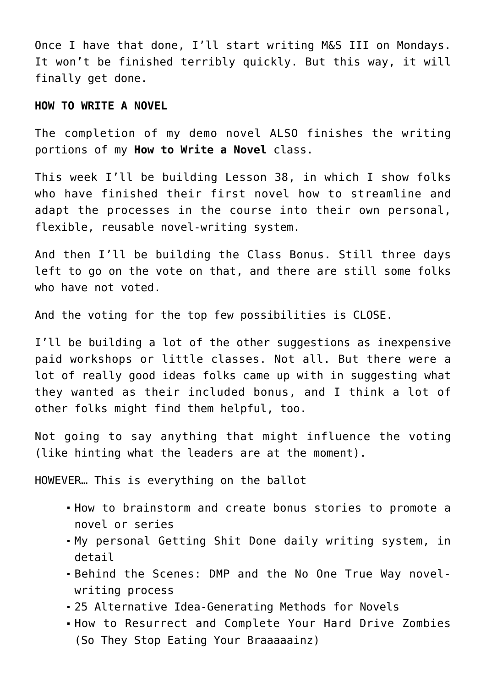Once I have that done, I'll start writing M&S III on Mondays. It won't be finished terribly quickly. But this way, it will finally get done.

## **HOW TO WRITE A NOVEL**

The completion of my demo novel ALSO finishes the writing portions of my **[How to Write a Novel](http://hollyswritingclasses.com/class/how-to-write-a-novel.html)** class.

This week I'll be building Lesson 38, in which I show folks who have finished their first novel how to streamline and adapt the processes in the course into their own personal, flexible, reusable novel-writing system.

And then I'll be building the Class Bonus. Still three days left to go on the vote on that, and there are still some folks who have not voted.

And the voting for the top few possibilities is CLOSE.

I'll be building a lot of the other suggestions as inexpensive paid workshops or little classes. Not all. But there were a lot of really good ideas folks came up with in suggesting what they wanted as their included bonus, and I think a lot of other folks might find them helpful, too.

Not going to say anything that might influence the voting (like hinting what the leaders are at the moment).

HOWEVER… This is everything on the ballot

- How to brainstorm and create bonus stories to promote a novel or series
- My personal Getting Shit Done daily writing system, in detail
- Behind the Scenes: DMP and the No One True Way novelwriting process
- 25 Alternative Idea-Generating Methods for Novels
- How to Resurrect and Complete Your Hard Drive Zombies (So They Stop Eating Your Braaaaainz)